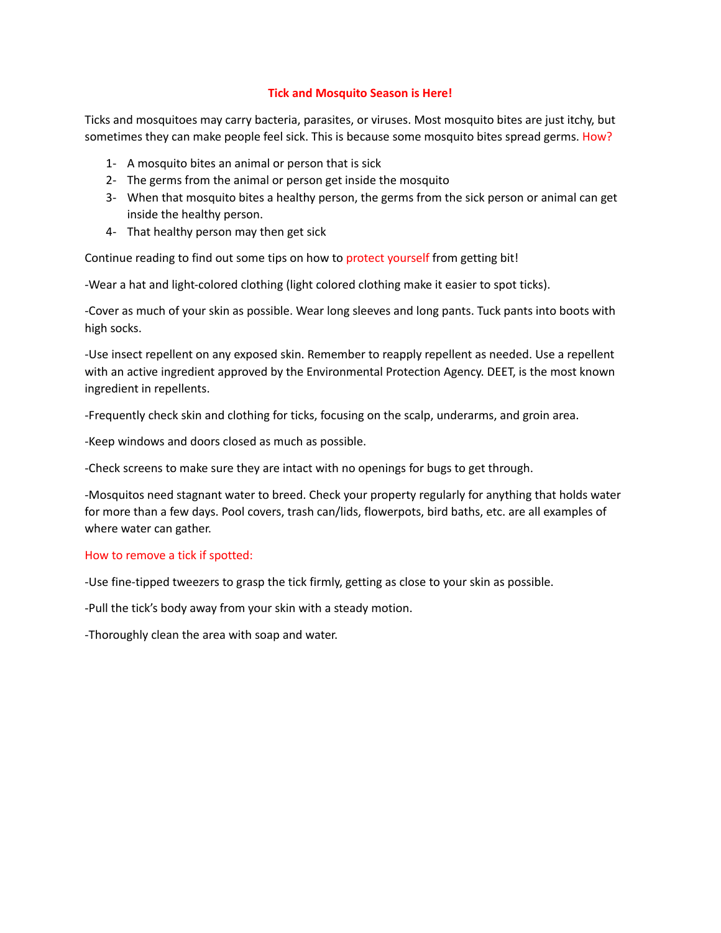## **Tick and Mosquito Season is Here!**

Ticks and mosquitoes may carry bacteria, parasites, or viruses. Most mosquito bites are just itchy, but sometimes they can make people feel sick. This is because some mosquito bites spread germs. How?

- 1- A mosquito bites an animal or person that is sick
- 2- The germs from the animal or person get inside the mosquito
- 3- When that mosquito bites a healthy person, the germs from the sick person or animal can get inside the healthy person.
- 4- That healthy person may then get sick

Continue reading to find out some tips on how to protect yourself from getting bit!

-Wear a hat and light-colored clothing (light colored clothing make it easier to spot ticks).

-Cover as much of your skin as possible. Wear long sleeves and long pants. Tuck pants into boots with high socks.

-Use insect repellent on any exposed skin. Remember to reapply repellent as needed. Use a repellent with an active ingredient approved by the Environmental Protection Agency. DEET, is the most known ingredient in repellents.

-Frequently check skin and clothing for ticks, focusing on the scalp, underarms, and groin area.

-Keep windows and doors closed as much as possible.

-Check screens to make sure they are intact with no openings for bugs to get through.

-Mosquitos need stagnant water to breed. Check your property regularly for anything that holds water for more than a few days. Pool covers, trash can/lids, flowerpots, bird baths, etc. are all examples of where water can gather.

## How to remove a tick if spotted:

-Use fine-tipped tweezers to grasp the tick firmly, getting as close to your skin as possible.

-Pull the tick's body away from your skin with a steady motion.

-Thoroughly clean the area with soap and water.